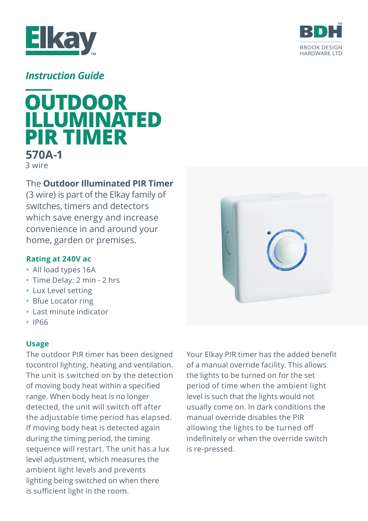



# *Instruction Guide*

# **Example 12 Minutes 12 Minutes 12 Minutes 12 Minutes 12 Minutes 12 Minutes 12 Minutes 12 Minutes 12 Minutes 12 Minutes 12 Minutes 12 Minutes 12 Minutes 12 Minutes 12 Minutes 12 Minutes 12 Minutes 12 Minutes 12 Minutes 12 M ILLUMINATED PIR TIMER 570A-1** 3 wire

## The **Outdoor Illuminated PIR Timer**

(3 wire) is part of the Elkay family of switches, timers and detectors which save energy and increase convenience in and around your home, garden or premises.

## **Rating at 240V ac**

- All load types 16A
- Time Delay: 2 min 2 hrs
- Lux Level setting
- Blue Locator ring
- Last minute indicator
- IP66

## **Usage**

The outdoor PIR timer has been designed tocontrol lighting, heating and ventilation. The unit is switched on by the detection of moving body heat within a specified range. When body heat is no longer detected, the unit will switch off after the adjustable time period has elapsed. If moving body heat is detected again during the timing period, the timing sequence will restart. The unit has a lux level adjustment, which measures the ambient light levels and prevents lighting being switched on when there is sufficient light in the room.



Your Elkay PIR timer has the added benefit of a manual override facility. This allows the lights to be turned on for the set period of time when the ambient light level is such that the lights would not usually come on. In dark conditions the manual override disables the PIR allowing the lights to be turned off indefinitely or when the override switch is re-pressed.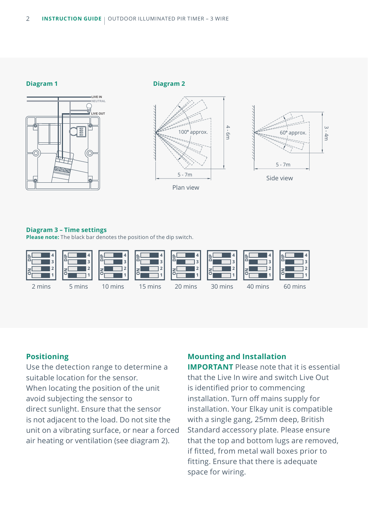#### **Diagram 1**

**Diagram 2**



#### **Diagram 3 – Time settings**

**Please note:** The black bar denotes the position of the dip switch.

**LIVE IN NEUTRAL LIVE OUT**

 $\boxed{\Xi}$ 



#### **Positioning**

Use the detection range to determine a suitable location for the sensor. When locating the position of the unit avoid subjecting the sensor to direct sunlight. Ensure that the sensor is not adjacent to the load. Do not site the unit on a vibrating surface, or near a forced air heating or ventilation (see diagram 2).

### **Mounting and Installation**

**IMPORTANT** Please note that it is essential that the Live In wire and switch Live Out is identified prior to commencing installation. Turn off mains supply for installation. Your Elkay unit is compatible with a single gang, 25mm deep, British Standard accessory plate. Please ensure that the top and bottom lugs are removed, if fitted, from metal wall boxes prior to fitting. Ensure that there is adequate space for wiring.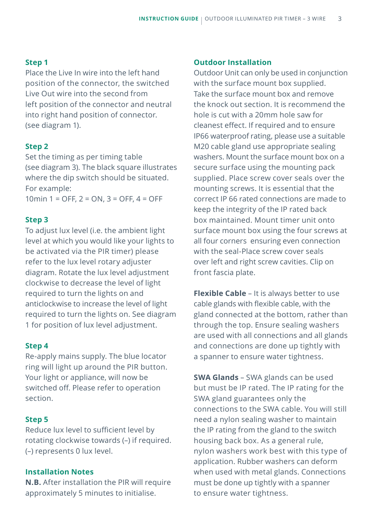#### **Step 1**

Place the Live In wire into the left hand position of the connector, the switched Live Out wire into the second from left position of the connector and neutral into right hand position of connector. (see diagram 1).

#### **Step 2**

Set the timing as per timing table (see diagram 3). The black square illustrates where the dip switch should be situated. For example:

10min 1 = OFF, 2 = ON, 3 = OFF, 4 = OFF

#### **Step 3**

To adjust lux level (i.e. the ambient light level at which you would like your lights to be activated via the PIR timer) please refer to the lux level rotary adjuster diagram. Rotate the lux level adjustment clockwise to decrease the level of light required to turn the lights on and anticlockwise to increase the level of light required to turn the lights on. See diagram 1 for position of lux level adjustment.

#### **Step 4**

Re-apply mains supply. The blue locator ring will light up around the PIR button. Your light or appliance, will now be switched off. Please refer to operation section.

#### **Step 5**

Reduce lux level to sufficient level by rotating clockwise towards (–) if required. (–) represents 0 lux level.

#### **Installation Notes**

**N.B.** After installation the PIR will require approximately 5 minutes to initialise.

#### **Outdoor Installation**

Outdoor Unit can only be used in conjunction with the surface mount box supplied. Take the surface mount box and remove the knock out section. It is recommend the hole is cut with a 20mm hole saw for cleanest effect. If required and to ensure IP66 waterproof rating, please use a suitable M20 cable gland use appropriate sealing washers. Mount the surface mount box on a secure surface using the mounting pack supplied. Place screw cover seals over the mounting screws. It is essential that the correct IP 66 rated connections are made to keep the integrity of the IP rated back box maintained. Mount timer unit onto surface mount box using the four screws at all four corners ensuring even connection with the seal-Place screw cover seals over left and right screw cavities. Clip on front fascia plate.

**Flexible Cable** – It is always better to use cable glands with flexible cable, with the gland connected at the bottom, rather than through the top. Ensure sealing washers are used with all connections and all glands and connections are done up tightly with a spanner to ensure water tightness.

**SWA Glands** – SWA glands can be used but must be IP rated. The IP rating for the SWA gland guarantees only the connections to the SWA cable. You will still need a nylon sealing washer to maintain the IP rating from the gland to the switch housing back box. As a general rule, nylon washers work best with this type of application. Rubber washers can deform when used with metal glands. Connections must be done up tightly with a spanner to ensure water tightness.